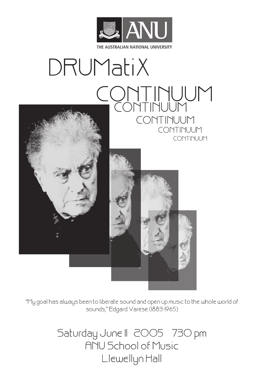

# DRUMatiX CONTINUUM CONTINUUM CONTINUUM CONTINUUM CONTINUUM



"My goal has always been to liberate sound and open up music to the whole world of sounds," Edgard Varèse (1883-1965)

> Saturday June II 2005 730 pm ANU School of Music Llewellyn Hall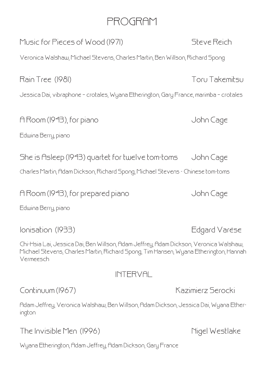# PROGRAM

Music for Pieces of Wood (1971) Steve Reich Veronica Walshaw, Michael Stevens, Charles Martin, Ben Willson, Richard Spong

Rain Tree (1981) Toru Takemitsu

Jessica Dai, vibraphone – crotales, Wyana Etherington, Gary France, marimba – crotales

A Room (1943), for piano diagram and the Uohn Cage

Edwina Berry, piano

She is Asleep (1943) quartet for twelve tom-toms John Cage

Charles Martin, Adam Dickson, Richard Spong, Michael Stevens - Chinese tom-toms

A Room (1943), for prepared piano John Cage

Edwina Berry, piano

Ionisation (1933) Edgard Varèse

Chi-Hsia Lai, Jessica Dai, Ben Willson, Adam Jeffrey, Adam Dickson, Veronica Walshaw, Michael Stevens, Charles Martin, Richard Spong, Tim Hansen, Wyana Etherington, Hannah Vermeesch

## INTERVAL

Adam Jeffrey, Veronica Walshaw, Ben Willson, Adam Dickson, Jessica Dai, Wyana Etherington

The Invisible Men (1996) Nigel Westlake

Wyana Etherington, Adam Jeffrey, Adam Dickson, Gary France

Continuum (1967) Kazimierz Serocki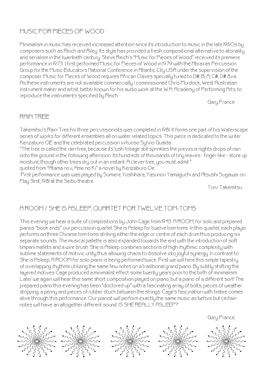#### MUSIC FOR PIECES OF WOOD

Minimalism in music has received increased attention since its introduction to music in the late 1960s by composers such as Reich and Riley. Its style has provided a fresh compositional alternative to atonality and serialism in the twentieth century. Steve Reich's "Music for Pieces of Wood" received its premiere performance in 1973. I first performed Music for Pieces of Wood in 1979 with the Abraxas Percussion Group for the Music Educators National Conference in Atlantic City USA under the supervision of the composer. Music for Pieces of Wood requires African Claves specially tuned to D#, B, A, C#, D# 8va. As these instruments are not available commercially I commissioned Chris Murdock, West Australian instrument maker and artist, better known for his audio work at the W.A. Academy of Performing Arts, to reproduce the instruments specified by Reich.

Gary France

#### RAIN TREE

Takemitsu's Rain-Tree for three percussionists was completed in 1981. It forms one part of his Waterscape series of works for different ensembles all on water related topics. This piece is dedicated to the writer Kenzaburo OÉ and the celebrated percussion virtuoso Sylvio Gualda.

"The tree is called the rain-tree, because its lush foliage still sprinkles the previous nights drops of rain onto the ground in the following afternoon. Its hundreds of thousands of tiny leaves - finger-like - store up moisture, though other trees dry out in an instant. A clever tree, you must admit." quoted from "Atama no ii, Ame no Ki" a novel by Kenzaburo Oé

 First performance was was played by Sumiere Yoshihara, Yasunori Yamaguchi and Atsushi Sugawar on May 31rst, 1981 at the Seibu theatre.

Toru Takemitsu

### A ROOM / SHE IS ASLEEP, QUARTET FOR TWELVE TOM-TOMS

This evening we hear a suite of compositions by John Cage from 1943. A ROOM, for solo and prepared pianos "book ends" our percussion quartet She is Asleep for twelve tom-toms. In this quartet, each player performs on three Chinese tom-toms striking either the edge or centre of each drum thus producing six separate sounds. The musical pallette is also expanded towards the end with the introduction of soft timpani mallets and a wire brush. She is Asleep combines sections of high rhythmic complexity with sublime statements of motivic unity thus allowing chaos to dissolve into joyful synergy. In contrast to She is Asleep; A ROOM for solo piano is being performed twice. First we will here this simple tapestry of overlapping rhythms utilizing the same few notes on a traditional grand piano. By subtly shifting the layered motives Cage produced a minimalist effect some twenty years prior to the birth of minimalism. Later we again will hear this same short composition played on piano, but a piano of a different sort! The prepared piano this evening has been "doctored up" with a fascinating array of bolts, pieces of weather stripping, a penny and pieces of rubber stuck between the strings. Cage's fascination with timbre comes alive through this performance. Our pianist will perform exactly the same music as before but certain notes will have an altogether different sound. IS SHE REALLY ASLEEP?

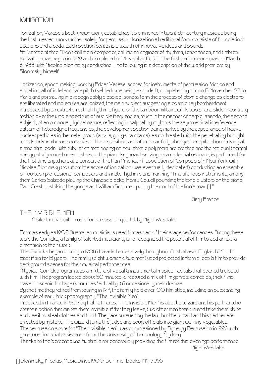#### IONISATION

 Ionization, Varèse's best known work, established it's eminence in twentieth-century music as being the first western work written solely for percussion. Ionization's traditional form consists of four distinct sections and a coda. Each section contains a wealth of innovative ideas and sounds. As Varèse stated: "Don't call me a composer, call me an engineer of rhythms, resonances, and timbres." Ionization was begun in 1929 and completed on November 13, 1931. The first performance was on March 6, 1933 with Nicolas Slonimsky conducting. The following is a description of the world premiere by Slonimsky himself.

"Ionization, epoch-making work by Edgar Varèse, scored for instruments of percussion, friction and sibilation, all of indeterminate pitch (kettledrums being excluded), completed by him on 13 November 1931 in Paris and portraying in a recognizably classical sonata form the process of atomic change as electrons are liberated and molecules are ionized, the main subject suggesting a cosmic-ray bombardment introduced by an extra-terrestrial rhythmic figure on the tambour militaire while two sirens slide in contrary motion over the whole spectrum of audible frequencies, much in the manner of harp glissando, the second subject, of an ominously lyrical nature, reflecting in palpitating rhythms the asymmetrical interference pattern of heterodyne frequencies, the development section being marked by the appearance of heavy nuclear particles in the metal group (anvils, gongs, tam tams), as contrasted with the penetrating but light wood-and-membrane sonorities of the exposition, and after an artfully abridged recapitulation arriving at a magistral coda, with tubular chimes ringing as new atomic polymers are created and the residual thermal energy of vigorous tone-clusters on the piano keyboard serving as a cadential ostinato, is performed for the first time anywhere at a concert of the Pan American Association of Composers in New York, with Nicolas Slonimsky (to whom the score of ionization was eventually dedicated) conducting an ensemble of fourteen professional composers and innate rhythmicians manning 41 multifarious instruments, among them Carlos Salzedo playing the Chinese blocks. Henry Cowell pounding the tone-clusters on the piano, Paul Creston striking the gongs and William Schuman pulling the cord of the lion's roar. [1] "

Gary France

#### THE INVISIBLE MEN

A silent movie with music for percussion quartet by Nigel Westlake.

From as early as 1902 Australian musicians used film as part of their stage performances. Among these were the Corricks, a family of talented musicians, who recognized the potential of film to add an extra dimension to their work.

The Corricks began touring in 1901 & traveled extensively throughout Australiasia, England & South East Asia for 13 years. The family (eight women & two men) used projected lantern slides & film to provide background scenes for their musical performances.

A typical Corrick program was a mixture of vocal & instrumental musical recitals that opened & closed with film. The program lasted about 50 minutes, & featured a mix of film genres: comedies, trick films, travel or scenic footage (known as "actuality") & occasionally, melodramas.

By the time they retired from touring in 1914, the family held over 100 film titles, including an outstanding example of early trick photography, "The Invisible Men".

Produced in France in 1907 by Pathe Freres, "The Invisible Men" is about a wizard and his partner who create a potion that makes them invisible. After they leave, two other men break in and take the mixture and use it to steal clothes and food. They are pursued by the law, but the wizard and his partner are arrested by mistake. The wizard turns the judge and court officials into giant walking vegetables. The percussion score for "The Invisible Men" was commissioned by Synergy Percussion in 1996 with generous financial assistance from The University of Technology, Sydney.

Thanks to the Screensound Australia for generously providing the film for this evenings performance. Nigel Westlake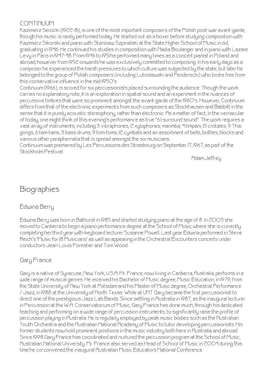#### CONTINUUM

Kazimierz Serocki (1922-81), is one of the most important composers of the Polish post-war avant-garde, though his music is rarely performed today. He started out as a boxer before studying composition with Kazimierz Sikorski and piano with Stanisaw Szpinalski at the State Higher School of Music in ód, graduating in 1946. He continued his studies in composition with Nadia Boulanger and in piano with Lazare Levy in Paris in 1947-48. From 1946 to 1951 he performed many times as a concert pianist in Poland and abroad, however from 1952 onwards he was exclusively committed to composing. In his early days as a composer he experienced the harsh pressures to which culture was subjected by the state, but later he belonged to the group of Polish composers (including Lutoslawski and Penderecki) who broke free from this conservative influence in the mid-1950's.

Continuum (1966), is scored for six percussionists placed surrounding the audience. Though the work carries no explanatory note, it is an exploration in spatial sound and an experiment in the nuances of percussive timbres that were so prominent amongst the avant-garde of the 1960's. However, Continuum differs from that of the electronic experiments from such composers as Stockhausen and Babbitt in the sense that it is purely acoustic stereophony, rather than electronic. As a matter of fact, in the vernacular of today, one might think of this evening's performance as true "6.1 surround sound". The work requires a vast array of instruments, including 3 vibraphones, 2 xylophones, marimba, 4 timpani, 13 crotales, 9 Thai gongs, 6 tam-tams, 3 bass drums, 9 tom-toms, 12 cymbals and an assortment of bells, bottles, blocks and various other paraphernalia that is spread amongst the six musicians.

Continuum was premiered by Les Percussions des Strasbourg on September 17, 1967, as part of the Stockholm Festival.

Adam Jeffrey

# **Biographies**

#### Edwina Berry

Edwina Berry was born in Bathurst in 1985 and started studying piano at the age of 8. In 2003 she moved to Canberra to begin a piano performance degree at the School of Music where she is currently completing her third year with keyboard lecturer Susanne Powell. Last year Edwina performed in Steve Reich's 'Music for 18 Musicians' as well as appearing in the Orchestral Encounters concerts under conductors Jean-Louis Forestier and Tom Wood.

#### Gary France

Gary is a native of Syracuse, New York, U.S.A. Mr. France, now living in Canberra, Australia, performs in a wide range of musical genres. He received his Bachelor of Music degree, Music Education, in 1979, from the State University of New York at Potsdam and his Master of Music degree, Orchestral Performance / Jazz, in 1988 at the University of North Texas. While at UNT Gary became the first percussionist to direct one of the prestigious Jazz Lab Bands. Since settling in Australia in 1987, as the inaugural lecturer in Percussion at the W.A. Conservatorium of Music, Gary France has done much, through his dedicated teaching and performing on a wide range of percussion instruments, to significantly raise the profile of percussion playing in Australia. He is regularly employed by peak music bodies such as the Australian Youth Orchestra and the Australian National Academy of Music to tutor developing percussionists. His former students now hold prominent positions in the music industry both here in Australia and abroad. Since 1998 Gary France has coordinated and nurtured the percussion program at the School of Music, Australian National University. Mr. France also served as Head of School of Music in 2004 during this time he co-convened the inaugural Australian Music Educators National Conference.